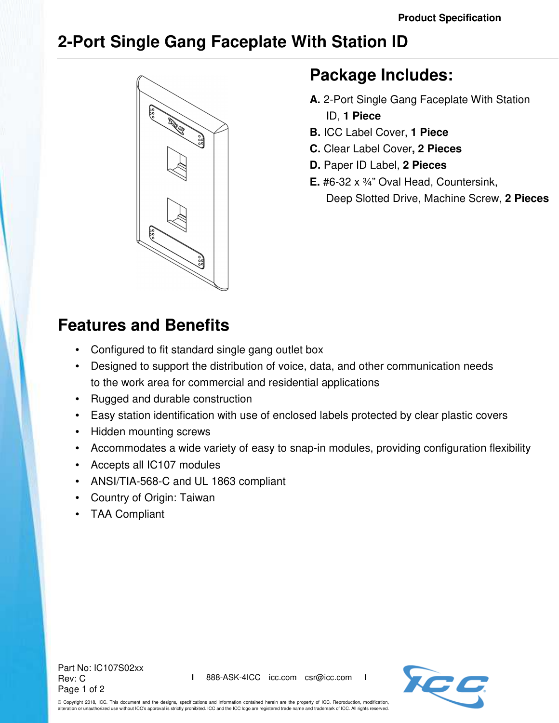## **2-Port Single Gang Faceplate With Station ID**



## **Package Includes:**

- **A.** 2-Port Single Gang Faceplate With Station ID, **1 Piece**
- **B.** ICC Label Cover, **1 Piece**
- **C.** Clear Label Cover**, 2 Pieces**
- **D.** Paper ID Label, **2 Pieces**
- **E.** #6-32 x ¾" Oval Head, Countersink, Deep Slotted Drive, Machine Screw, **2 Pieces**

## **Features and Benefits**

- Configured to fit standard single gang outlet box
- Designed to support the distribution of voice, data, and other communication needs to the work area for commercial and residential applications
- Rugged and durable construction
- Easy station identification with use of enclosed labels protected by clear plastic covers
- Hidden mounting screws
- Accommodates a wide variety of easy to snap-in modules, providing configuration flexibility
- Accepts all IC107 modules
- ANSI/TIA-568-C and UL 1863 compliant
- Country of Origin: Taiwan
- TAA Compliant

Part No: IC107S02xx Rev: C Page 1 of 2



© Copyright 2018, ICC. This document and the designs, specifications and information contained herein are the property of ICC. Reproduction, modification, alteration or unauthorized use without ICC's approval is strictly prohibited. ICC and the ICC logo are registered trade name and trademark of ICC. All rights reserved.